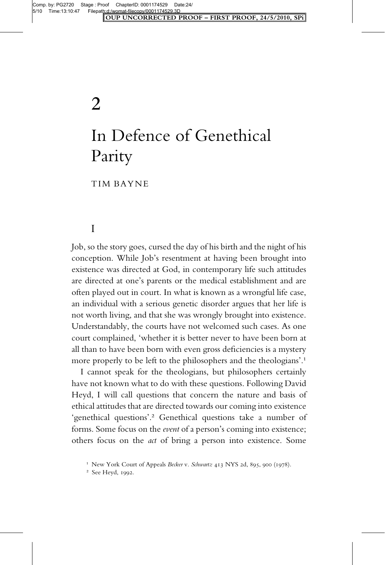## $\mathcal{D}_{\mathcal{L}}$

# In Defence of Genethical Parity

TIM BAYNE

## I

Job, so the story goes, cursed the day of his birth and the night of his conception. While Job's resentment at having been brought into existence was directed at God, in contemporary life such attitudes are directed at one's parents or the medical establishment and are often played out in court. In what is known as a wrongful life case, an individual with a serious genetic disorder argues that her life is not worth living, and that she was wrongly brought into existence. Understandably, the courts have not welcomed such cases. As one court complained, 'whether it is better never to have been born at all than to have been born with even gross deficiencies is a mystery more properly to be left to the philosophers and the theologians'.1

I cannot speak for the theologians, but philosophers certainly have not known what to do with these questions. Following David Heyd, I will call questions that concern the nature and basis of ethical attitudes that are directed towards our coming into existence 'genethical questions'.2 Genethical questions take a number of forms. Some focus on the event of a person's coming into existence; others focus on the act of bring a person into existence. Some

2 See Heyd, 1992.

<sup>&</sup>lt;sup>1</sup> New York Court of Appeals Becker v. Schwartz 413 NYS 2d, 895, 900 (1978).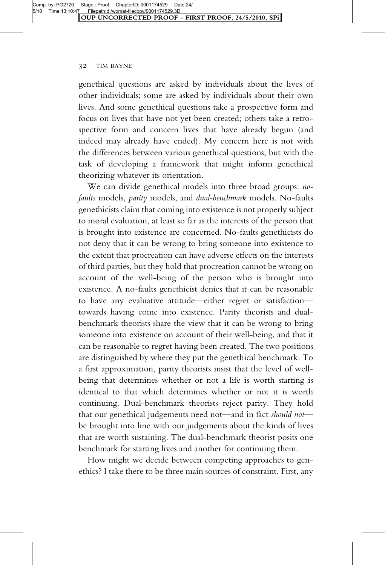genethical questions are asked by individuals about the lives of other individuals; some are asked by individuals about their own lives. And some genethical questions take a prospective form and focus on lives that have not yet been created; others take a retrospective form and concern lives that have already begun (and indeed may already have ended). My concern here is not with the differences between various genethical questions, but with the task of developing a framework that might inform genethical theorizing whatever its orientation.

We can divide genethical models into three broad groups: *no*faults models, parity models, and dual-benchmark models. No-faults genethicists claim that coming into existence is not properly subject to moral evaluation, at least so far as the interests of the person that is brought into existence are concerned. No-faults genethicists do not deny that it can be wrong to bring someone into existence to the extent that procreation can have adverse effects on the interests of third parties, but they hold that procreation cannot be wrong on account of the well-being of the person who is brought into existence. A no-faults genethicist denies that it can be reasonable to have any evaluative attitude—either regret or satisfaction towards having come into existence. Parity theorists and dualbenchmark theorists share the view that it can be wrong to bring someone into existence on account of their well-being, and that it can be reasonable to regret having been created. The two positions are distinguished by where they put the genethical benchmark. To a first approximation, parity theorists insist that the level of wellbeing that determines whether or not a life is worth starting is identical to that which determines whether or not it is worth continuing. Dual-benchmark theorists reject parity. They hold that our genethical judgements need not—and in fact should not be brought into line with our judgements about the kinds of lives that are worth sustaining. The dual-benchmark theorist posits one benchmark for starting lives and another for continuing them.

How might we decide between competing approaches to genethics? I take there to be three main sources of constraint. First, any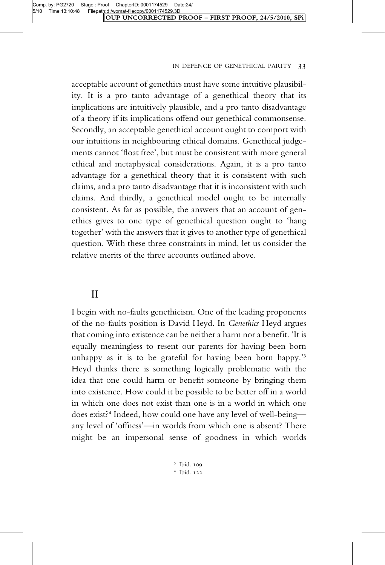#### IN DEFENCE OF GENETHICAL PARITY 33

acceptable account of genethics must have some intuitive plausibility. It is a pro tanto advantage of a genethical theory that its implications are intuitively plausible, and a pro tanto disadvantage of a theory if its implications offend our genethical commonsense. Secondly, an acceptable genethical account ought to comport with our intuitions in neighbouring ethical domains. Genethical judgements cannot 'float free', but must be consistent with more general ethical and metaphysical considerations. Again, it is a pro tanto advantage for a genethical theory that it is consistent with such claims, and a pro tanto disadvantage that it is inconsistent with such claims. And thirdly, a genethical model ought to be internally consistent. As far as possible, the answers that an account of genethics gives to one type of genethical question ought to 'hang together' with the answers that it gives to another type of genethical question. With these three constraints in mind, let us consider the relative merits of the three accounts outlined above.

## II

I begin with no-faults genethicism. One of the leading proponents of the no-faults position is David Heyd. In Genethics Heyd argues that coming into existence can be neither a harm nor a benefit. 'It is equally meaningless to resent our parents for having been born unhappy as it is to be grateful for having been born happy.'3 Heyd thinks there is something logically problematic with the idea that one could harm or benefit someone by bringing them into existence. How could it be possible to be better off in a world in which one does not exist than one is in a world in which one does exist?4 Indeed, how could one have any level of well-being any level of 'offness'—in worlds from which one is absent? There might be an impersonal sense of goodness in which worlds

> 3 Ibid. 109. 4 Ibid. 122.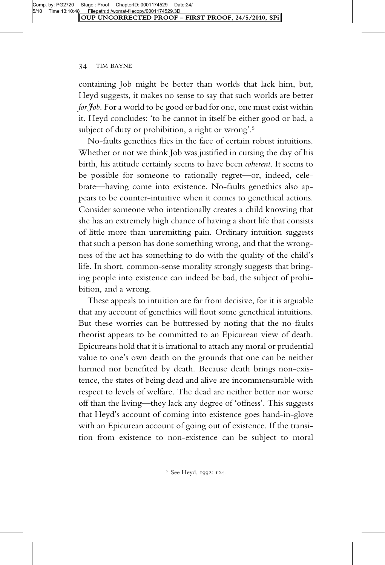containing Job might be better than worlds that lack him, but, Heyd suggests, it makes no sense to say that such worlds are better for  $\mathfrak{F}$ ob. For a world to be good or bad for one, one must exist within it. Heyd concludes: 'to be cannot in itself be either good or bad, a subject of duty or prohibition, a right or wrong'.<sup>5</sup>

No-faults genethics flies in the face of certain robust intuitions. Whether or not we think Job was justified in cursing the day of his birth, his attitude certainly seems to have been coherent. It seems to be possible for someone to rationally regret—or, indeed, celebrate—having come into existence. No-faults genethics also appears to be counter-intuitive when it comes to genethical actions. Consider someone who intentionally creates a child knowing that she has an extremely high chance of having a short life that consists of little more than unremitting pain. Ordinary intuition suggests that such a person has done something wrong, and that the wrongness of the act has something to do with the quality of the child's life. In short, common-sense morality strongly suggests that bringing people into existence can indeed be bad, the subject of prohibition, and a wrong.

These appeals to intuition are far from decisive, for it is arguable that any account of genethics will flout some genethical intuitions. But these worries can be buttressed by noting that the no-faults theorist appears to be committed to an Epicurean view of death. Epicureans hold that it is irrational to attach any moral or prudential value to one's own death on the grounds that one can be neither harmed nor benefited by death. Because death brings non-existence, the states of being dead and alive are incommensurable with respect to levels of welfare. The dead are neither better nor worse off than the living—they lack any degree of 'offness'. This suggests that Heyd's account of coming into existence goes hand-in-glove with an Epicurean account of going out of existence. If the transition from existence to non-existence can be subject to moral

5 See Heyd, 1992: 124.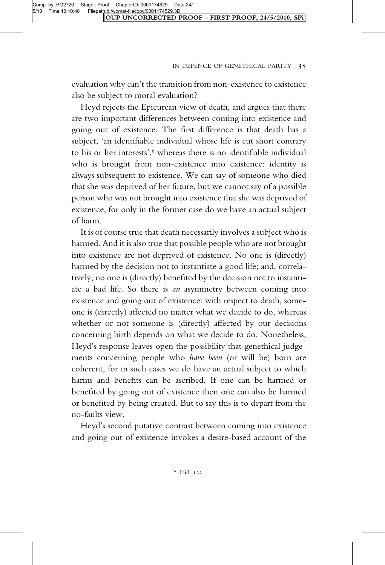#### IN DEFENCE OF GENETHICAL PARITY 35

evaluation why can't the transition from non-existence to existence also be subject to moral evaluation?

Heyd rejects the Epicurean view of death, and argues that there are two important differences between coming into existence and going out of existence. The first difference is that death has a subject, 'an identifiable individual whose life is cut short contrary to his or her interests',<sup>6</sup> whereas there is no identifiable individual who is brought from non-existence into existence: identity is always subsequent to existence. We can say of someone who died that she was deprived of her future, but we cannot say of a possible person who was not brought into existence that she was deprived of existence, for only in the former case do we have an actual subject of harm.

It is of course true that death necessarily involves a subject who is harmed. And it is also true that possible people who are not brought into existence are not deprived of existence. No one is (directly) harmed by the decision not to instantiate a good life; and, correlatively, no one is (directly) benefited by the decision not to instantiate a bad life. So there is an asymmetry between coming into existence and going out of existence: with respect to death, someone is (directly) affected no matter what we decide to do, whereas whether or not someone is (directly) affected by our decisions concerning birth depends on what we decide to do. Nonetheless, Heyd's response leaves open the possibility that genethical judgements concerning people who have been (or will be) born are coherent, for in such cases we do have an actual subject to which harms and benefits can be ascribed. If one can be harmed or benefited by going out of existence then one can also be harmed or benefited by being created. But to say this is to depart from the no-faults view.

Heyd's second putative contrast between coming into existence and going out of existence invokes a desire-based account of the

6 Ibid. 123.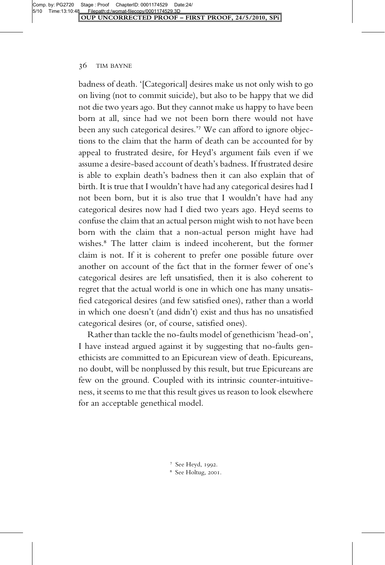badness of death. '[Categorical] desires make us not only wish to go on living (not to commit suicide), but also to be happy that we did not die two years ago. But they cannot make us happy to have been born at all, since had we not been born there would not have been any such categorical desires.'7 We can afford to ignore objections to the claim that the harm of death can be accounted for by appeal to frustrated desire, for Heyd's argument fails even if we assume a desire-based account of death's badness. If frustrated desire is able to explain death's badness then it can also explain that of birth. It is true that I wouldn't have had any categorical desires had I not been born, but it is also true that I wouldn't have had any categorical desires now had I died two years ago. Heyd seems to confuse the claim that an actual person might wish to not have been born with the claim that a non-actual person might have had wishes.8 The latter claim is indeed incoherent, but the former claim is not. If it is coherent to prefer one possible future over another on account of the fact that in the former fewer of one's categorical desires are left unsatisfied, then it is also coherent to regret that the actual world is one in which one has many unsatisfied categorical desires (and few satisfied ones), rather than a world in which one doesn't (and didn't) exist and thus has no unsatisfied categorical desires (or, of course, satisfied ones).

Rather than tackle the no-faults model of genethicism 'head-on', I have instead argued against it by suggesting that no-faults genethicists are committed to an Epicurean view of death. Epicureans, no doubt, will be nonplussed by this result, but true Epicureans are few on the ground. Coupled with its intrinsic counter-intuitiveness, it seems to me that this result gives us reason to look elsewhere for an acceptable genethical model.

7 See Heyd, 1992.

8 See Holtug, 2001.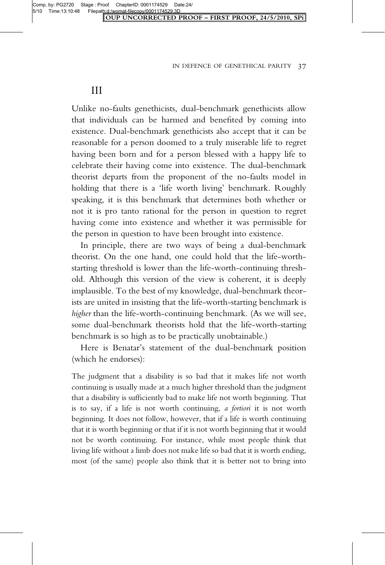IN DEFENCE OF GENETHICAL PARITY 37

III

Unlike no-faults genethicists, dual-benchmark genethicists allow that individuals can be harmed and benefited by coming into existence. Dual-benchmark genethicists also accept that it can be reasonable for a person doomed to a truly miserable life to regret having been born and for a person blessed with a happy life to celebrate their having come into existence. The dual-benchmark theorist departs from the proponent of the no-faults model in holding that there is a 'life worth living' benchmark. Roughly speaking, it is this benchmark that determines both whether or not it is pro tanto rational for the person in question to regret having come into existence and whether it was permissible for the person in question to have been brought into existence.

In principle, there are two ways of being a dual-benchmark theorist. On the one hand, one could hold that the life-worthstarting threshold is lower than the life-worth-continuing threshold. Although this version of the view is coherent, it is deeply implausible. To the best of my knowledge, dual-benchmark theorists are united in insisting that the life-worth-starting benchmark is higher than the life-worth-continuing benchmark. (As we will see, some dual-benchmark theorists hold that the life-worth-starting benchmark is so high as to be practically unobtainable.)

Here is Benatar's statement of the dual-benchmark position (which he endorses):

The judgment that a disability is so bad that it makes life not worth continuing is usually made at a much higher threshold than the judgment that a disability is sufficiently bad to make life not worth beginning. That is to say, if a life is not worth continuing, a fortiori it is not worth beginning. It does not follow, however, that if a life is worth continuing that it is worth beginning or that if it is not worth beginning that it would not be worth continuing. For instance, while most people think that living life without a limb does not make life so bad that it is worth ending, most (of the same) people also think that it is better not to bring into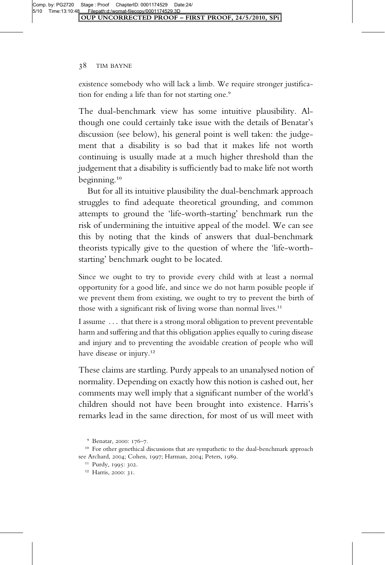existence somebody who will lack a limb. We require stronger justification for ending a life than for not starting one.<sup>9</sup>

The dual-benchmark view has some intuitive plausibility. Although one could certainly take issue with the details of Benatar's discussion (see below), his general point is well taken: the judgement that a disability is so bad that it makes life not worth continuing is usually made at a much higher threshold than the judgement that a disability is sufficiently bad to make life not worth beginning.10

But for all its intuitive plausibility the dual-benchmark approach struggles to find adequate theoretical grounding, and common attempts to ground the 'life-worth-starting' benchmark run the risk of undermining the intuitive appeal of the model. We can see this by noting that the kinds of answers that dual-benchmark theorists typically give to the question of where the 'life-worthstarting' benchmark ought to be located.

Since we ought to try to provide every child with at least a normal opportunity for a good life, and since we do not harm possible people if we prevent them from existing, we ought to try to prevent the birth of those with a significant risk of living worse than normal lives.<sup>11</sup>

I assume ... that there is a strong moral obligation to prevent preventable harm and suffering and that this obligation applies equally to curing disease and injury and to preventing the avoidable creation of people who will have disease or injury.12

These claims are startling. Purdy appeals to an unanalysed notion of normality. Depending on exactly how this notion is cashed out, her comments may well imply that a significant number of the world's children should not have been brought into existence. Harris's remarks lead in the same direction, for most of us will meet with

<sup>9</sup> Benatar, 2000: 176–7.

<sup>&</sup>lt;sup>10</sup> For other genethical discussions that are sympathetic to the dual-benchmark approach see Archard, 2004; Cohen, 1997; Harman, 2004; Peters, 1989.

<sup>11</sup> Purdy, 1995: 302.

<sup>12</sup> Harris, 2000: 31.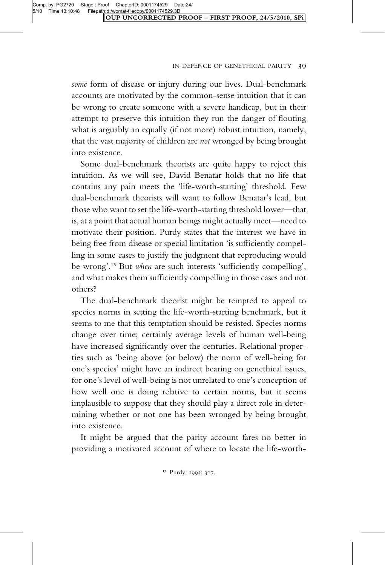#### IN DEFENCE OF GENETHICAL PARITY 39

some form of disease or injury during our lives. Dual-benchmark accounts are motivated by the common-sense intuition that it can be wrong to create someone with a severe handicap, but in their attempt to preserve this intuition they run the danger of flouting what is arguably an equally (if not more) robust intuition, namely, that the vast majority of children are not wronged by being brought into existence.

Some dual-benchmark theorists are quite happy to reject this intuition. As we will see, David Benatar holds that no life that contains any pain meets the 'life-worth-starting' threshold. Few dual-benchmark theorists will want to follow Benatar's lead, but those who want to set the life-worth-starting threshold lower—that is, at a point that actual human beings might actually meet—need to motivate their position. Purdy states that the interest we have in being free from disease or special limitation 'is sufficiently compelling in some cases to justify the judgment that reproducing would be wrong'.<sup>13</sup> But when are such interests 'sufficiently compelling', and what makes them sufficiently compelling in those cases and not others?

The dual-benchmark theorist might be tempted to appeal to species norms in setting the life-worth-starting benchmark, but it seems to me that this temptation should be resisted. Species norms change over time; certainly average levels of human well-being have increased significantly over the centuries. Relational properties such as 'being above (or below) the norm of well-being for one's species' might have an indirect bearing on genethical issues, for one's level of well-being is not unrelated to one's conception of how well one is doing relative to certain norms, but it seems implausible to suppose that they should play a direct role in determining whether or not one has been wronged by being brought into existence.

It might be argued that the parity account fares no better in providing a motivated account of where to locate the life-worth-

13 Purdy, 1995: 307.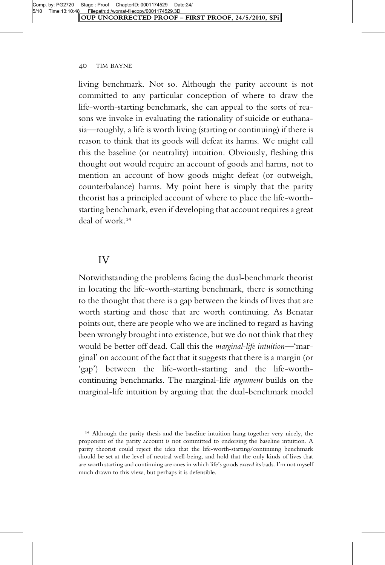living benchmark. Not so. Although the parity account is not committed to any particular conception of where to draw the life-worth-starting benchmark, she can appeal to the sorts of reasons we invoke in evaluating the rationality of suicide or euthanasia—roughly, a life is worth living (starting or continuing) if there is reason to think that its goods will defeat its harms. We might call this the baseline (or neutrality) intuition. Obviously, fleshing this thought out would require an account of goods and harms, not to mention an account of how goods might defeat (or outweigh, counterbalance) harms. My point here is simply that the parity theorist has a principled account of where to place the life-worthstarting benchmark, even if developing that account requires a great deal of work.14

## IV

Notwithstanding the problems facing the dual-benchmark theorist in locating the life-worth-starting benchmark, there is something to the thought that there is a gap between the kinds of lives that are worth starting and those that are worth continuing. As Benatar points out, there are people who we are inclined to regard as having been wrongly brought into existence, but we do not think that they would be better off dead. Call this the marginal-life intuition-'marginal' on account of the fact that it suggests that there is a margin (or 'gap') between the life-worth-starting and the life-worthcontinuing benchmarks. The marginal-life argument builds on the marginal-life intuition by arguing that the dual-benchmark model

<sup>14</sup> Although the parity thesis and the baseline intuition hang together very nicely, the proponent of the parity account is not committed to endorsing the baseline intuition. A parity theorist could reject the idea that the life-worth-starting/continuing benchmark should be set at the level of neutral well-being, and hold that the only kinds of lives that are worth starting and continuing are ones in which life's goods exceed its bads. I'm not myself much drawn to this view, but perhaps it is defensible.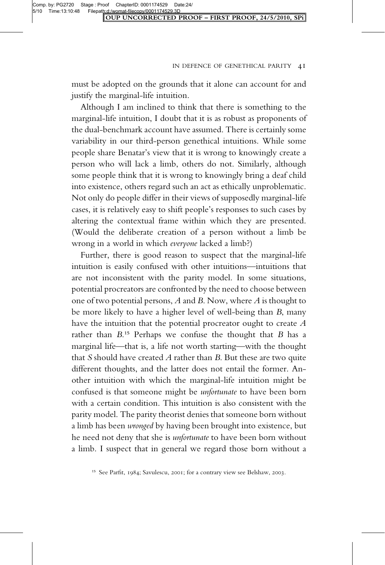IN DEFENCE OF GENETHICAL PARITY 41

must be adopted on the grounds that it alone can account for and justify the marginal-life intuition.

Although I am inclined to think that there is something to the marginal-life intuition, I doubt that it is as robust as proponents of the dual-benchmark account have assumed. There is certainly some variability in our third-person genethical intuitions. While some people share Benatar's view that it is wrong to knowingly create a person who will lack a limb, others do not. Similarly, although some people think that it is wrong to knowingly bring a deaf child into existence, others regard such an act as ethically unproblematic. Not only do people differ in their views of supposedly marginal-life cases, it is relatively easy to shift people's responses to such cases by altering the contextual frame within which they are presented. (Would the deliberate creation of a person without a limb be wrong in a world in which everyone lacked a limb?)

Further, there is good reason to suspect that the marginal-life intuition is easily confused with other intuitions—intuitions that are not inconsistent with the parity model. In some situations, potential procreators are confronted by the need to choose between one of two potential persons,  $A$  and  $B$ . Now, where  $A$  is thought to be more likely to have a higher level of well-being than B, many have the intuition that the potential procreator ought to create A rather than  $B$ <sup>15</sup> Perhaps we confuse the thought that  $B$  has a marginal life—that is, a life not worth starting—with the thought that S should have created A rather than B. But these are two quite different thoughts, and the latter does not entail the former. Another intuition with which the marginal-life intuition might be confused is that someone might be unfortunate to have been born with a certain condition. This intuition is also consistent with the parity model. The parity theorist denies that someone born without a limb has been wronged by having been brought into existence, but he need not deny that she is unfortunate to have been born without a limb. I suspect that in general we regard those born without a

15 See Parfit, 1984; Savulescu, 2001; for a contrary view see Belshaw, 2003.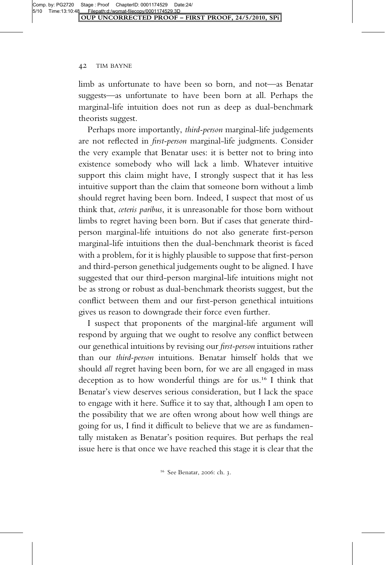limb as unfortunate to have been so born, and not—as Benatar suggests—as unfortunate to have been born at all. Perhaps the marginal-life intuition does not run as deep as dual-benchmark theorists suggest.

Perhaps more importantly, third-person marginal-life judgements are not reflected in first-person marginal-life judgments. Consider the very example that Benatar uses: it is better not to bring into existence somebody who will lack a limb. Whatever intuitive support this claim might have, I strongly suspect that it has less intuitive support than the claim that someone born without a limb should regret having been born. Indeed, I suspect that most of us think that, ceteris paribus, it is unreasonable for those born without limbs to regret having been born. But if cases that generate thirdperson marginal-life intuitions do not also generate first-person marginal-life intuitions then the dual-benchmark theorist is faced with a problem, for it is highly plausible to suppose that first-person and third-person genethical judgements ought to be aligned. I have suggested that our third-person marginal-life intuitions might not be as strong or robust as dual-benchmark theorists suggest, but the conflict between them and our first-person genethical intuitions gives us reason to downgrade their force even further.

I suspect that proponents of the marginal-life argument will respond by arguing that we ought to resolve any conflict between our genethical intuitions by revising our first-person intuitions rather than our third-person intuitions. Benatar himself holds that we should all regret having been born, for we are all engaged in mass deception as to how wonderful things are for us.16 I think that Benatar's view deserves serious consideration, but I lack the space to engage with it here. Suffice it to say that, although I am open to the possibility that we are often wrong about how well things are going for us, I find it difficult to believe that we are as fundamentally mistaken as Benatar's position requires. But perhaps the real issue here is that once we have reached this stage it is clear that the

16 See Benatar, 2006: ch. 3.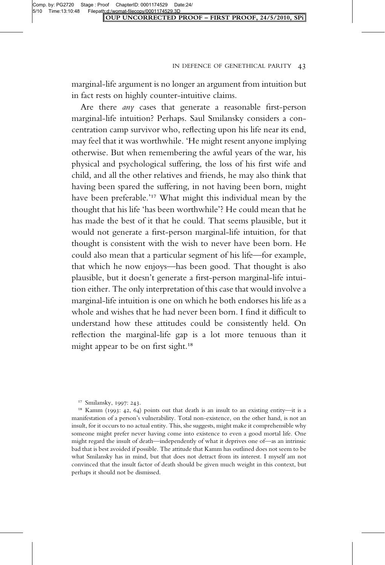IN DEFENCE OF GENETHICAL PARITY 43

marginal-life argument is no longer an argument from intuition but in fact rests on highly counter-intuitive claims.

Are there *any* cases that generate a reasonable first-person marginal-life intuition? Perhaps. Saul Smilansky considers a concentration camp survivor who, reflecting upon his life near its end, may feel that it was worthwhile. 'He might resent anyone implying otherwise. But when remembering the awful years of the war, his physical and psychological suffering, the loss of his first wife and child, and all the other relatives and friends, he may also think that having been spared the suffering, in not having been born, might have been preferable.'17 What might this individual mean by the thought that his life 'has been worthwhile'? He could mean that he has made the best of it that he could. That seems plausible, but it would not generate a first-person marginal-life intuition, for that thought is consistent with the wish to never have been born. He could also mean that a particular segment of his life—for example, that which he now enjoys—has been good. That thought is also plausible, but it doesn't generate a first-person marginal-life intuition either. The only interpretation of this case that would involve a marginal-life intuition is one on which he both endorses his life as a whole and wishes that he had never been born. I find it difficult to understand how these attitudes could be consistently held. On reflection the marginal-life gap is a lot more tenuous than it might appear to be on first sight.<sup>18</sup>

<sup>17</sup> Smilansky, 1997: 243.

<sup>18</sup> Kamm (1993: 42, 64) points out that death is an insult to an existing entity—it is a manifestation of a person's vulnerability. Total non-existence, on the other hand, is not an insult, for it occurs to no actual entity. This, she suggests, might make it comprehensible why someone might prefer never having come into existence to even a good mortal life. One might regard the insult of death—independently of what it deprives one of—as an intrinsic bad that is best avoided if possible. The attitude that Kamm has outlined does not seem to be what Smilansky has in mind, but that does not detract from its interest. I myself am not convinced that the insult factor of death should be given much weight in this context, but perhaps it should not be dismissed.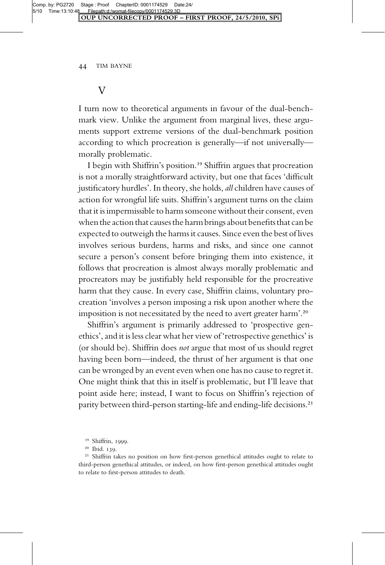V

I turn now to theoretical arguments in favour of the dual-benchmark view. Unlike the argument from marginal lives, these arguments support extreme versions of the dual-benchmark position according to which procreation is generally—if not universally morally problematic.

I begin with Shiffrin's position.19 Shiffrin argues that procreation is not a morally straightforward activity, but one that faces 'difficult justificatory hurdles'. In theory, she holds, all children have causes of action for wrongful life suits. Shiffrin's argument turns on the claim that it is impermissible to harm someone without their consent, even when the action that causes the harm brings about benefits that can be expected to outweigh the harms it causes. Since even the best of lives involves serious burdens, harms and risks, and since one cannot secure a person's consent before bringing them into existence, it follows that procreation is almost always morally problematic and procreators may be justifiably held responsible for the procreative harm that they cause. In every case, Shiffrin claims, voluntary procreation 'involves a person imposing a risk upon another where the imposition is not necessitated by the need to avert greater harm'.20

Shiffrin's argument is primarily addressed to 'prospective genethics', and it is less clear what her view of 'retrospective genethics' is (or should be). Shiffrin does not argue that most of us should regret having been born—indeed, the thrust of her argument is that one can be wronged by an event even when one has no cause to regret it. One might think that this in itself is problematic, but I'll leave that point aside here; instead, I want to focus on Shiffrin's rejection of parity between third-person starting-life and ending-life decisions.<sup>21</sup>

<sup>19</sup> Shiffrin, 1999.

<sup>20</sup> Ibid. 139.

<sup>&</sup>lt;sup>21</sup> Shiffrin takes no position on how first-person genethical attitudes ought to relate to third-person genethical attitudes, or indeed, on how first-person genethical attitudes ought to relate to first-person attitudes to death.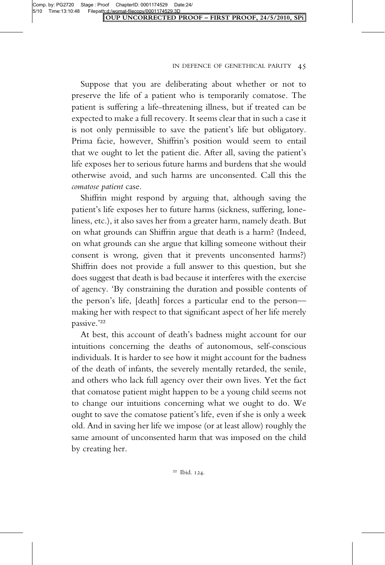#### IN DEFENCE OF GENETHICAL PARITY 45

Suppose that you are deliberating about whether or not to preserve the life of a patient who is temporarily comatose. The patient is suffering a life-threatening illness, but if treated can be expected to make a full recovery. It seems clear that in such a case it is not only permissible to save the patient's life but obligatory. Prima facie, however, Shiffrin's position would seem to entail that we ought to let the patient die. After all, saving the patient's life exposes her to serious future harms and burdens that she would otherwise avoid, and such harms are unconsented. Call this the comatose patient case.

Shiffrin might respond by arguing that, although saving the patient's life exposes her to future harms (sickness, suffering, loneliness, etc.), it also saves her from a greater harm, namely death. But on what grounds can Shiffrin argue that death is a harm? (Indeed, on what grounds can she argue that killing someone without their consent is wrong, given that it prevents unconsented harms?) Shiffrin does not provide a full answer to this question, but she does suggest that death is bad because it interferes with the exercise of agency. 'By constraining the duration and possible contents of the person's life, [death] forces a particular end to the person making her with respect to that significant aspect of her life merely passive.'22

At best, this account of death's badness might account for our intuitions concerning the deaths of autonomous, self-conscious individuals. It is harder to see how it might account for the badness of the death of infants, the severely mentally retarded, the senile, and others who lack full agency over their own lives. Yet the fact that comatose patient might happen to be a young child seems not to change our intuitions concerning what we ought to do. We ought to save the comatose patient's life, even if she is only a week old. And in saving her life we impose (or at least allow) roughly the same amount of unconsented harm that was imposed on the child by creating her.

22 Ibid. 124.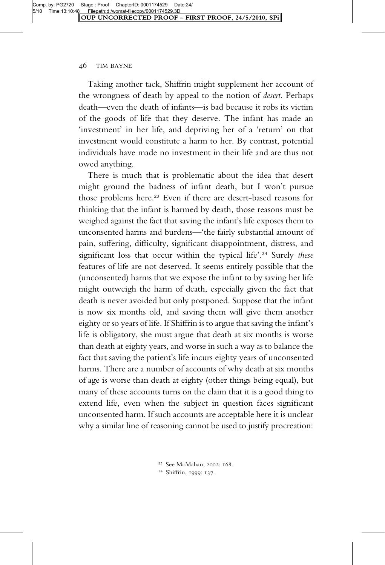Taking another tack, Shiffrin might supplement her account of the wrongness of death by appeal to the notion of desert. Perhaps death—even the death of infants—is bad because it robs its victim of the goods of life that they deserve. The infant has made an 'investment' in her life, and depriving her of a 'return' on that investment would constitute a harm to her. By contrast, potential individuals have made no investment in their life and are thus not owed anything.

There is much that is problematic about the idea that desert might ground the badness of infant death, but I won't pursue those problems here.23 Even if there are desert-based reasons for thinking that the infant is harmed by death, those reasons must be weighed against the fact that saving the infant's life exposes them to unconsented harms and burdens—'the fairly substantial amount of pain, suffering, difficulty, significant disappointment, distress, and significant loss that occur within the typical life'.<sup>24</sup> Surely these features of life are not deserved. It seems entirely possible that the (unconsented) harms that we expose the infant to by saving her life might outweigh the harm of death, especially given the fact that death is never avoided but only postponed. Suppose that the infant is now six months old, and saving them will give them another eighty or so years of life. If Shiffrin is to argue that saving the infant's life is obligatory, she must argue that death at six months is worse than death at eighty years, and worse in such a way as to balance the fact that saving the patient's life incurs eighty years of unconsented harms. There are a number of accounts of why death at six months of age is worse than death at eighty (other things being equal), but many of these accounts turns on the claim that it is a good thing to extend life, even when the subject in question faces significant unconsented harm. If such accounts are acceptable here it is unclear why a similar line of reasoning cannot be used to justify procreation:

23 See McMahan, 2002: 168.

24 Shiffrin, 1999: 137.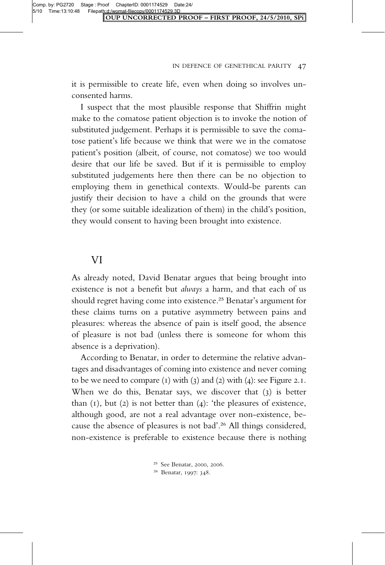IN DEFENCE OF GENETHICAL PARITY 47

it is permissible to create life, even when doing so involves unconsented harms.

I suspect that the most plausible response that Shiffrin might make to the comatose patient objection is to invoke the notion of substituted judgement. Perhaps it is permissible to save the comatose patient's life because we think that were we in the comatose patient's position (albeit, of course, not comatose) we too would desire that our life be saved. But if it is permissible to employ substituted judgements here then there can be no objection to employing them in genethical contexts. Would-be parents can justify their decision to have a child on the grounds that were they (or some suitable idealization of them) in the child's position, they would consent to having been brought into existence.

## VI

As already noted, David Benatar argues that being brought into existence is not a benefit but *always* a harm, and that each of us should regret having come into existence.25 Benatar's argument for these claims turns on a putative asymmetry between pains and pleasures: whereas the absence of pain is itself good, the absence of pleasure is not bad (unless there is someone for whom this absence is a deprivation).

According to Benatar, in order to determine the relative advantages and disadvantages of coming into existence and never coming to be we need to compare  $(1)$  with  $(3)$  and  $(2)$  with  $(4)$ : see Figure 2.1. When we do this, Benatar says, we discover that (3) is better than  $(I)$ , but  $(2)$  is not better than  $(4)$ : 'the pleasures of existence, although good, are not a real advantage over non-existence, because the absence of pleasures is not bad'.26 All things considered, non-existence is preferable to existence because there is nothing

25 See Benatar, 2000, 2006.

26 Benatar, 1997: 348.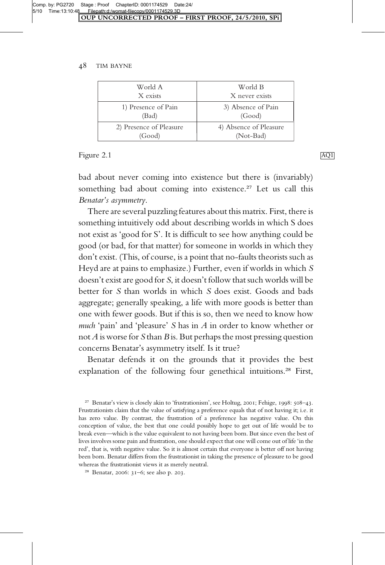| World A                 | World B                |
|-------------------------|------------------------|
| X exists                | X never exists         |
| 1) Presence of Pain     | 3) Absence of Pain     |
| (Bad)                   | (Good)                 |
| 2) Presence of Pleasure | 4) Absence of Pleasure |
| (Good)                  | (Not-Bad)              |

Figure 2.1 AQ1

bad about never coming into existence but there is (invariably) something bad about coming into existence.<sup>27</sup> Let us call this Benatar's asymmetry.

There are several puzzling features about this matrix. First, there is something intuitively odd about describing worlds in which S does not exist as 'good for S'. It is difficult to see how anything could be good (or bad, for that matter) for someone in worlds in which they don't exist. (This, of course, is a point that no-faults theorists such as Heyd are at pains to emphasize.) Further, even if worlds in which S doesn't exist are good for S, it doesn't follow that such worlds will be better for S than worlds in which S does exist. Goods and bads aggregate; generally speaking, a life with more goods is better than one with fewer goods. But if this is so, then we need to know how much 'pain' and 'pleasure' S has in  $A$  in order to know whether or not A is worse for S than B is. But perhaps the most pressing question concerns Benatar's asymmetry itself. Is it true?

Benatar defends it on the grounds that it provides the best explanation of the following four genethical intuitions.<sup>28</sup> First,

28 Benatar, 2006: 31–6; see also p. 203.

<sup>27</sup> Benatar's view is closely akin to 'frustrationism', see Holtug, 2001; Fehige, 1998: 508–43. Frustrationists claim that the value of satisfying a preference equals that of not having it; i.e. it has zero value. By contrast, the frustration of a preference has negative value. On this conception of value, the best that one could possibly hope to get out of life would be to break even—which is the value equivalent to not having been born. But since even the best of lives involves some pain and frustration, one should expect that one will come out of life 'in the red', that is, with negative value. So it is almost certain that everyone is better off not having been born. Benatar differs from the frustrationist in taking the presence of pleasure to be good whereas the frustrationist views it as merely neutral.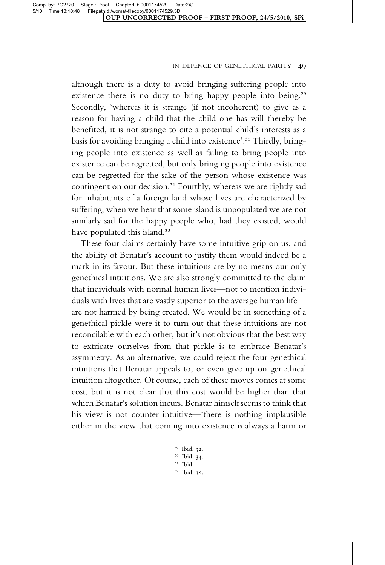#### IN DEFENCE OF GENETHICAL PARITY 49

although there is a duty to avoid bringing suffering people into existence there is no duty to bring happy people into being.<sup>29</sup> Secondly, 'whereas it is strange (if not incoherent) to give as a reason for having a child that the child one has will thereby be benefited, it is not strange to cite a potential child's interests as a basis for avoiding bringing a child into existence'.30 Thirdly, bringing people into existence as well as failing to bring people into existence can be regretted, but only bringing people into existence can be regretted for the sake of the person whose existence was contingent on our decision.<sup>31</sup> Fourthly, whereas we are rightly sad for inhabitants of a foreign land whose lives are characterized by suffering, when we hear that some island is unpopulated we are not similarly sad for the happy people who, had they existed, would have populated this island.<sup>32</sup>

These four claims certainly have some intuitive grip on us, and the ability of Benatar's account to justify them would indeed be a mark in its favour. But these intuitions are by no means our only genethical intuitions. We are also strongly committed to the claim that individuals with normal human lives—not to mention individuals with lives that are vastly superior to the average human life are not harmed by being created. We would be in something of a genethical pickle were it to turn out that these intuitions are not reconcilable with each other, but it's not obvious that the best way to extricate ourselves from that pickle is to embrace Benatar's asymmetry. As an alternative, we could reject the four genethical intuitions that Benatar appeals to, or even give up on genethical intuition altogether. Of course, each of these moves comes at some cost, but it is not clear that this cost would be higher than that which Benatar's solution incurs. Benatar himself seems to think that his view is not counter-intuitive—'there is nothing implausible either in the view that coming into existence is always a harm or

<sup>29</sup> Ibid. 32. 30 Ibid. 34. 31 Ibid. 32 Ibid. 35.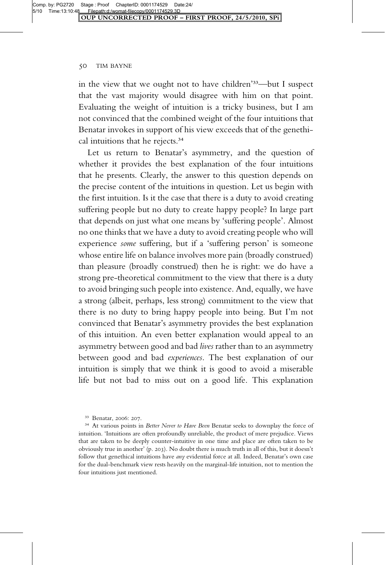in the view that we ought not to have children'33—but I suspect that the vast majority would disagree with him on that point. Evaluating the weight of intuition is a tricky business, but I am not convinced that the combined weight of the four intuitions that Benatar invokes in support of his view exceeds that of the genethical intuitions that he rejects.34

Let us return to Benatar's asymmetry, and the question of whether it provides the best explanation of the four intuitions that he presents. Clearly, the answer to this question depends on the precise content of the intuitions in question. Let us begin with the first intuition. Is it the case that there is a duty to avoid creating suffering people but no duty to create happy people? In large part that depends on just what one means by 'suffering people'. Almost no one thinks that we have a duty to avoid creating people who will experience some suffering, but if a 'suffering person' is someone whose entire life on balance involves more pain (broadly construed) than pleasure (broadly construed) then he is right: we do have a strong pre-theoretical commitment to the view that there is a duty to avoid bringing such people into existence. And, equally, we have a strong (albeit, perhaps, less strong) commitment to the view that there is no duty to bring happy people into being. But I'm not convinced that Benatar's asymmetry provides the best explanation of this intuition. An even better explanation would appeal to an asymmetry between good and bad lives rather than to an asymmetry between good and bad experiences. The best explanation of our intuition is simply that we think it is good to avoid a miserable life but not bad to miss out on a good life. This explanation

<sup>33</sup> Benatar, 2006: 207.

<sup>&</sup>lt;sup>34</sup> At various points in *Better Never to Have Been* Benatar seeks to downplay the force of intuition. 'Intuitions are often profoundly unreliable, the product of mere prejudice. Views that are taken to be deeply counter-intuitive in one time and place are often taken to be obviously true in another' (p. 203). No doubt there is much truth in all of this, but it doesn't follow that genethical intuitions have any evidential force at all. Indeed, Benatar's own case for the dual-benchmark view rests heavily on the marginal-life intuition, not to mention the four intuitions just mentioned.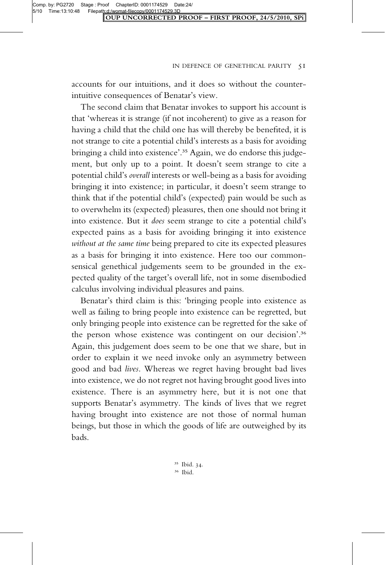IN DEFENCE OF GENETHICAL PARITY 51

accounts for our intuitions, and it does so without the counterintuitive consequences of Benatar's view.

The second claim that Benatar invokes to support his account is that 'whereas it is strange (if not incoherent) to give as a reason for having a child that the child one has will thereby be benefited, it is not strange to cite a potential child's interests as a basis for avoiding bringing a child into existence'.35 Again, we do endorse this judgement, but only up to a point. It doesn't seem strange to cite a potential child's overall interests or well-being as a basis for avoiding bringing it into existence; in particular, it doesn't seem strange to think that if the potential child's (expected) pain would be such as to overwhelm its (expected) pleasures, then one should not bring it into existence. But it does seem strange to cite a potential child's expected pains as a basis for avoiding bringing it into existence without at the same time being prepared to cite its expected pleasures as a basis for bringing it into existence. Here too our commonsensical genethical judgements seem to be grounded in the expected quality of the target's overall life, not in some disembodied calculus involving individual pleasures and pains.

Benatar's third claim is this: 'bringing people into existence as well as failing to bring people into existence can be regretted, but only bringing people into existence can be regretted for the sake of the person whose existence was contingent on our decision'.36 Again, this judgement does seem to be one that we share, but in order to explain it we need invoke only an asymmetry between good and bad lives. Whereas we regret having brought bad lives into existence, we do not regret not having brought good lives into existence. There is an asymmetry here, but it is not one that supports Benatar's asymmetry. The kinds of lives that we regret having brought into existence are not those of normal human beings, but those in which the goods of life are outweighed by its bads.

> 35 Ibid. 34. 36 Ibid.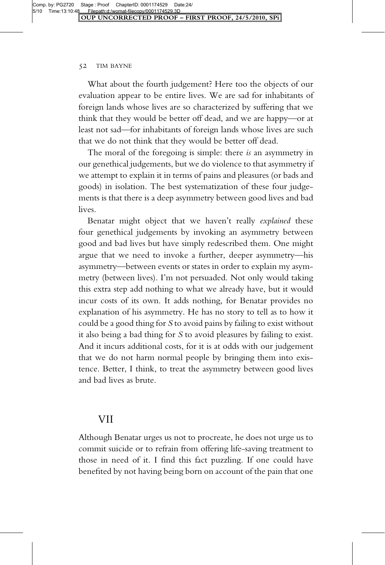What about the fourth judgement? Here too the objects of our evaluation appear to be entire lives. We are sad for inhabitants of foreign lands whose lives are so characterized by suffering that we think that they would be better off dead, and we are happy—or at least not sad—for inhabitants of foreign lands whose lives are such that we do not think that they would be better off dead.

The moral of the foregoing is simple: there is an asymmetry in our genethical judgements, but we do violence to that asymmetry if we attempt to explain it in terms of pains and pleasures (or bads and goods) in isolation. The best systematization of these four judgements is that there is a deep asymmetry between good lives and bad lives.

Benatar might object that we haven't really *explained* these four genethical judgements by invoking an asymmetry between good and bad lives but have simply redescribed them. One might argue that we need to invoke a further, deeper asymmetry—his asymmetry—between events or states in order to explain my asymmetry (between lives). I'm not persuaded. Not only would taking this extra step add nothing to what we already have, but it would incur costs of its own. It adds nothing, for Benatar provides no explanation of his asymmetry. He has no story to tell as to how it could be a good thing for S to avoid pains by failing to exist without it also being a bad thing for S to avoid pleasures by failing to exist. And it incurs additional costs, for it is at odds with our judgement that we do not harm normal people by bringing them into existence. Better, I think, to treat the asymmetry between good lives and bad lives as brute.

## VII

Although Benatar urges us not to procreate, he does not urge us to commit suicide or to refrain from offering life-saving treatment to those in need of it. I find this fact puzzling. If one could have benefited by not having being born on account of the pain that one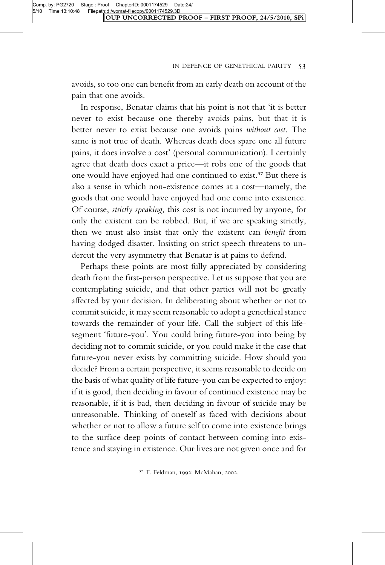#### IN DEFENCE OF GENETHICAL PARITY 53

avoids, so too one can benefit from an early death on account of the pain that one avoids.

In response, Benatar claims that his point is not that 'it is better never to exist because one thereby avoids pains, but that it is better never to exist because one avoids pains without cost. The same is not true of death. Whereas death does spare one all future pains, it does involve a cost' (personal communication). I certainly agree that death does exact a price—it robs one of the goods that one would have enjoyed had one continued to exist.37 But there is also a sense in which non-existence comes at a cost—namely, the goods that one would have enjoyed had one come into existence. Of course, strictly speaking, this cost is not incurred by anyone, for only the existent can be robbed. But, if we are speaking strictly, then we must also insist that only the existent can benefit from having dodged disaster. Insisting on strict speech threatens to undercut the very asymmetry that Benatar is at pains to defend.

Perhaps these points are most fully appreciated by considering death from the first-person perspective. Let us suppose that you are contemplating suicide, and that other parties will not be greatly affected by your decision. In deliberating about whether or not to commit suicide, it may seem reasonable to adopt a genethical stance towards the remainder of your life. Call the subject of this lifesegment 'future-you'. You could bring future-you into being by deciding not to commit suicide, or you could make it the case that future-you never exists by committing suicide. How should you decide? From a certain perspective, it seems reasonable to decide on the basis of what quality of life future-you can be expected to enjoy: if it is good, then deciding in favour of continued existence may be reasonable, if it is bad, then deciding in favour of suicide may be unreasonable. Thinking of oneself as faced with decisions about whether or not to allow a future self to come into existence brings to the surface deep points of contact between coming into existence and staying in existence. Our lives are not given once and for

37 F. Feldman, 1992; McMahan, 2002.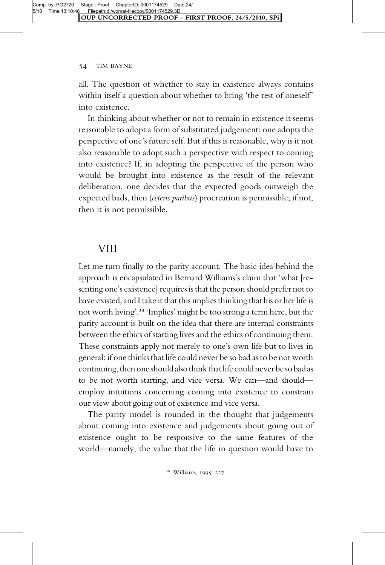all. The question of whether to stay in existence always contains within itself a question about whether to bring 'the rest of oneself' into existence.

In thinking about whether or not to remain in existence it seems reasonable to adopt a form of substituted judgement: one adopts the perspective of one's future self. But if this is reasonable, why is it not also reasonable to adopt such a perspective with respect to coming into existence? If, in adopting the perspective of the person who would be brought into existence as the result of the relevant deliberation, one decides that the expected goods outweigh the expected bads, then (ceteris paribus) procreation is permissible; if not, then it is not permissible.

## VIII

Let me turn finally to the parity account. The basic idea behind the approach is encapsulated in Bernard Williams's claim that 'what [resenting one's existence] requires is that the person should prefer not to have existed, and I take it that this implies thinking that his or her life is not worth living'.38 'Implies' might be too strong a term here, but the parity account is built on the idea that there are internal constraints between the ethics of starting lives and the ethics of continuing them. These constraints apply not merely to one's own life but to lives in general: if one thinks that life could never be so bad as to be not worth continuing, then one should also think that life could never be so bad as to be not worth starting, and vice versa. We can—and should employ intuitions concerning coming into existence to constrain our view about going out of existence and vice versa.

The parity model is rounded in the thought that judgements about coming into existence and judgements about going out of existence ought to be responsive to the same features of the world—namely, the value that the life in question would have to

38 Williams, 1995: 227.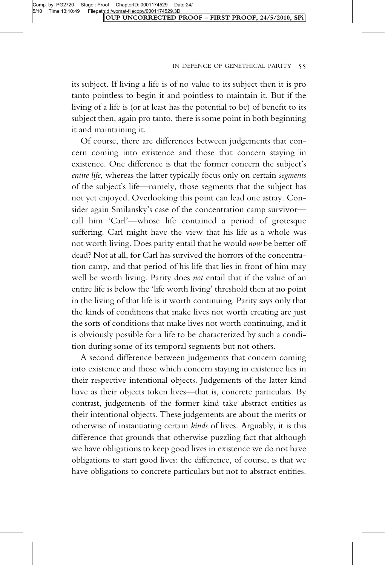#### IN DEFENCE OF GENETHICAL PARITY 55

its subject. If living a life is of no value to its subject then it is pro tanto pointless to begin it and pointless to maintain it. But if the living of a life is (or at least has the potential to be) of benefit to its subject then, again pro tanto, there is some point in both beginning it and maintaining it.

Of course, there are differences between judgements that concern coming into existence and those that concern staying in existence. One difference is that the former concern the subject's entire life, whereas the latter typically focus only on certain segments of the subject's life—namely, those segments that the subject has not yet enjoyed. Overlooking this point can lead one astray. Consider again Smilansky's case of the concentration camp survivor call him 'Carl'—whose life contained a period of grotesque suffering. Carl might have the view that his life as a whole was not worth living. Does parity entail that he would now be better off dead? Not at all, for Carl has survived the horrors of the concentration camp, and that period of his life that lies in front of him may well be worth living. Parity does not entail that if the value of an entire life is below the 'life worth living' threshold then at no point in the living of that life is it worth continuing. Parity says only that the kinds of conditions that make lives not worth creating are just the sorts of conditions that make lives not worth continuing, and it is obviously possible for a life to be characterized by such a condition during some of its temporal segments but not others.

A second difference between judgements that concern coming into existence and those which concern staying in existence lies in their respective intentional objects. Judgements of the latter kind have as their objects token lives—that is, concrete particulars. By contrast, judgements of the former kind take abstract entities as their intentional objects. These judgements are about the merits or otherwise of instantiating certain kinds of lives. Arguably, it is this difference that grounds that otherwise puzzling fact that although we have obligations to keep good lives in existence we do not have obligations to start good lives: the difference, of course, is that we have obligations to concrete particulars but not to abstract entities.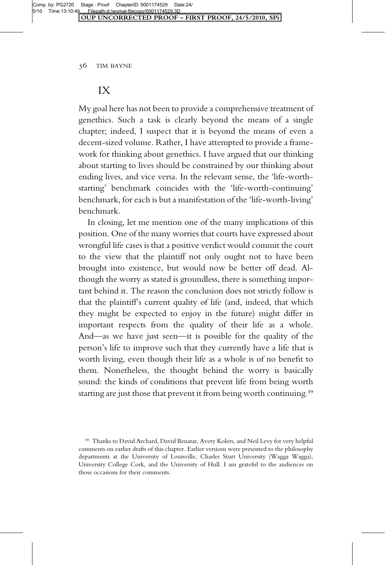## IX

My goal here has not been to provide a comprehensive treatment of genethics. Such a task is clearly beyond the means of a single chapter; indeed, I suspect that it is beyond the means of even a decent-sized volume. Rather, I have attempted to provide a framework for thinking about genethics. I have argued that our thinking about starting to lives should be constrained by our thinking about ending lives, and vice versa. In the relevant sense, the 'life-worthstarting' benchmark coincides with the 'life-worth-continuing' benchmark, for each is but a manifestation of the 'life-worth-living' benchmark.

In closing, let me mention one of the many implications of this position. One of the many worries that courts have expressed about wrongful life cases is that a positive verdict would commit the court to the view that the plaintiff not only ought not to have been brought into existence, but would now be better off dead. Although the worry as stated is groundless, there is something important behind it. The reason the conclusion does not strictly follow is that the plaintiff's current quality of life (and, indeed, that which they might be expected to enjoy in the future) might differ in important respects from the quality of their life as a whole. And—as we have just seen—it is possible for the quality of the person's life to improve such that they currently have a life that is worth living, even though their life as a whole is of no benefit to them. Nonetheless, the thought behind the worry is basically sound: the kinds of conditions that prevent life from being worth starting are just those that prevent it from being worth continuing.<sup>39</sup>

<sup>&</sup>lt;sup>39</sup> Thanks to David Archard, David Benatar, Avery Kolers, and Neil Levy for very helpful comments on earlier drafts of this chapter. Earlier versions were presented to the philosophy departments at the University of Louisville, Charles Sturt University (Wagga Wagga), University College Cork, and the University of Hull. I am grateful to the audiences on those occasions for their comments.